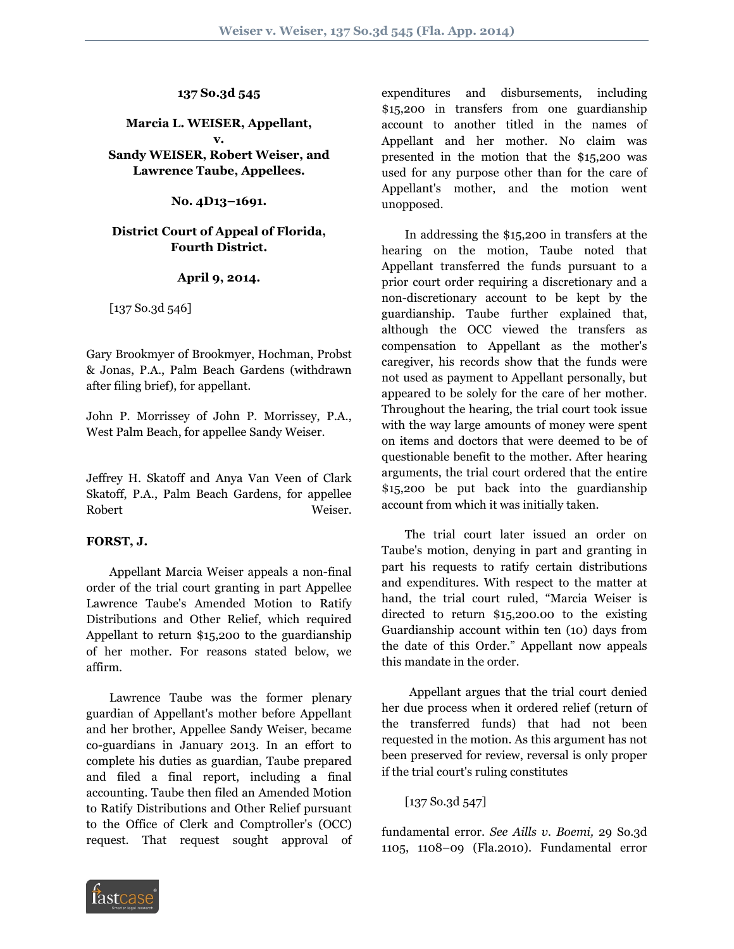### **137 So.3d 545**

# **Marcia L. WEISER, Appellant, v.**

# **Sandy WEISER, Robert Weiser, and Lawrence Taube, Appellees.**

### **No. 4D13–1691.**

# **District Court of Appeal of Florida, Fourth District.**

### **April 9, 2014.**

[137 So.3d 546]

Gary Brookmyer of Brookmyer, Hochman, Probst & Jonas, P.A., Palm Beach Gardens (withdrawn after filing brief), for appellant.

John P. Morrissey of John P. Morrissey, P.A., West Palm Beach, for appellee Sandy Weiser.

Jeffrey H. Skatoff and Anya Van Veen of Clark Skatoff, P.A., Palm Beach Gardens, for appellee Robert Weiser.

# **FORST, J.**

 Appellant Marcia Weiser appeals a non-final order of the trial court granting in part Appellee Lawrence Taube's Amended Motion to Ratify Distributions and Other Relief, which required Appellant to return \$15,200 to the guardianship of her mother. For reasons stated below, we affirm.

 Lawrence Taube was the former plenary guardian of Appellant's mother before Appellant and her brother, Appellee Sandy Weiser, became co-guardians in January 2013. In an effort to complete his duties as guardian, Taube prepared and filed a final report, including a final accounting. Taube then filed an Amended Motion to Ratify Distributions and Other Relief pursuant to the Office of Clerk and Comptroller's (OCC) request. That request sought approval of expenditures and disbursements, including \$15,200 in transfers from one guardianship account to another titled in the names of Appellant and her mother. No claim was presented in the motion that the \$15,200 was used for any purpose other than for the care of Appellant's mother, and the motion went unopposed.

 In addressing the \$15,200 in transfers at the hearing on the motion, Taube noted that Appellant transferred the funds pursuant to a prior court order requiring a discretionary and a non-discretionary account to be kept by the guardianship. Taube further explained that, although the OCC viewed the transfers as compensation to Appellant as the mother's caregiver, his records show that the funds were not used as payment to Appellant personally, but appeared to be solely for the care of her mother. Throughout the hearing, the trial court took issue with the way large amounts of money were spent on items and doctors that were deemed to be of questionable benefit to the mother. After hearing arguments, the trial court ordered that the entire \$15,200 be put back into the guardianship account from which it was initially taken.

 The trial court later issued an order on Taube's motion, denying in part and granting in part his requests to ratify certain distributions and expenditures. With respect to the matter at hand, the trial court ruled, "Marcia Weiser is directed to return \$15,200.00 to the existing Guardianship account within ten (10) days from the date of this Order." Appellant now appeals this mandate in the order.

 Appellant argues that the trial court denied her due process when it ordered relief (return of the transferred funds) that had not been requested in the motion. As this argument has not been preserved for review, reversal is only proper if the trial court's ruling constitutes

# [137 So.3d 547]

fundamental error. *See Aills v. Boemi,* 29 So.3d 1105, 1108–09 (Fla.2010). Fundamental error